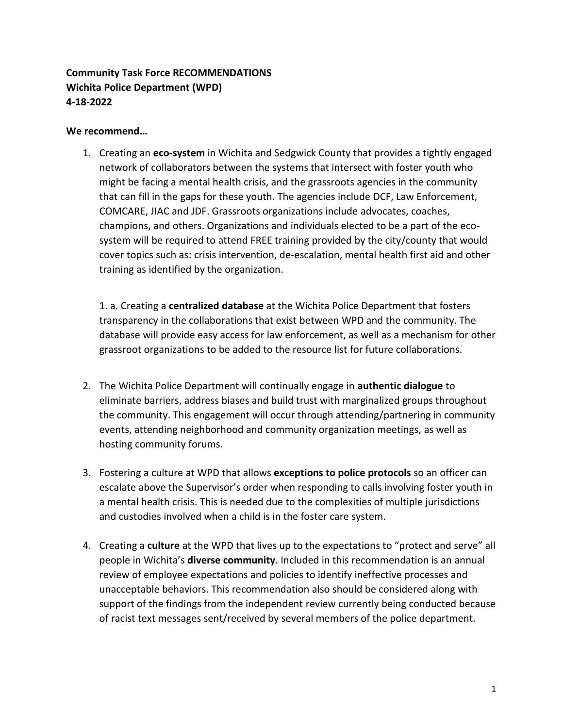## **Community Task Force RECOMMENDATIONS Wichita Police Department (WPD) 4-18-2022**

## **We recommend…**

1. Creating an **eco-system** in Wichita and Sedgwick County that provides a tightly engaged network of collaborators between the systems that intersect with foster youth who might be facing a mental health crisis, and the grassroots agencies in the community that can fill in the gaps for these youth. The agencies include DCF, Law Enforcement, COMCARE, JIAC and JDF. Grassroots organizations include advocates, coaches, champions, and others. Organizations and individuals elected to be a part of the ecosystem will be required to attend FREE training provided by the city/county that would cover topics such as: crisis intervention, de-escalation, mental health first aid and other training as identified by the organization.

1. a. Creating a **centralized database** at the Wichita Police Department that fosters transparency in the collaborations that exist between WPD and the community. The database will provide easy access for law enforcement, as well as a mechanism for other grassroot organizations to be added to the resource list for future collaborations.

- 2. The Wichita Police Department will continually engage in **authentic dialogue** to eliminate barriers, address biases and build trust with marginalized groups throughout the community. This engagement will occur through attending/partnering in community events, attending neighborhood and community organization meetings, as well as hosting community forums.
- 3. Fostering a culture at WPD that allows **exceptions to police protocols** so an officer can escalate above the Supervisor's order when responding to calls involving foster youth in a mental health crisis. This is needed due to the complexities of multiple jurisdictions and custodies involved when a child is in the foster care system.
- 4. Creating a **culture** at the WPD that lives up to the expectations to "protect and serve" all people in Wichita's **diverse community**. Included in this recommendation is an annual review of employee expectations and policies to identify ineffective processes and unacceptable behaviors. This recommendation also should be considered along with support of the findings from the independent review currently being conducted because of racist text messages sent/received by several members of the police department.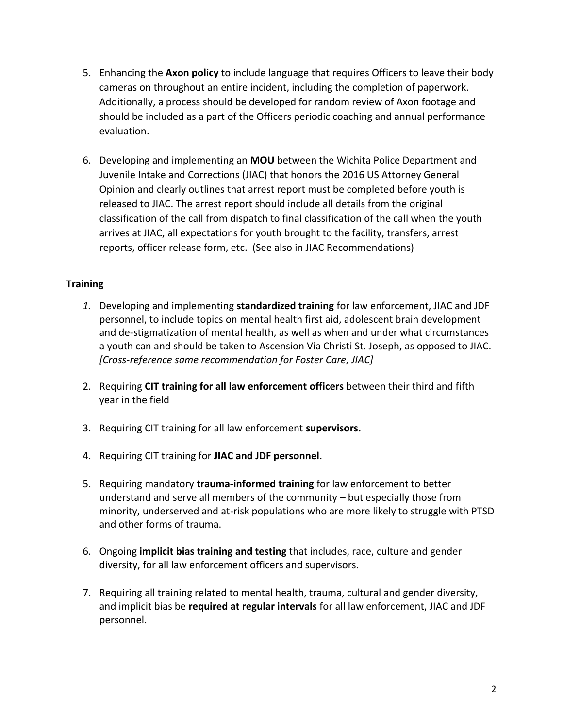- 5. Enhancing the **Axon policy** to include language that requires Officers to leave their body cameras on throughout an entire incident, including the completion of paperwork. Additionally, a process should be developed for random review of Axon footage and should be included as a part of the Officers periodic coaching and annual performance evaluation.
- 6. Developing and implementing an **MOU** between the Wichita Police Department and Juvenile Intake and Corrections (JIAC) that honors the 2016 US Attorney General Opinion and clearly outlines that arrest report must be completed before youth is released to JIAC. The arrest report should include all details from the original classification of the call from dispatch to final classification of the call when the youth arrives at JIAC, all expectations for youth brought to the facility, transfers, arrest reports, officer release form, etc. (See also in JIAC Recommendations)

## **Training**

- *1.* Developing and implementing **standardized training** for law enforcement, JIAC and JDF personnel, to include topics on mental health first aid, adolescent brain development and de-stigmatization of mental health, as well as when and under what circumstances a youth can and should be taken to Ascension Via Christi St. Joseph, as opposed to JIAC. *[Cross-reference same recommendation for Foster Care, JIAC]*
- 2. Requiring **CIT training for all law enforcement officers** between their third and fifth year in the field
- 3. Requiring CIT training for all law enforcement **supervisors.**
- 4. Requiring CIT training for **JIAC and JDF personnel**.
- 5. Requiring mandatory **trauma-informed training** for law enforcement to better understand and serve all members of the community – but especially those from minority, underserved and at-risk populations who are more likely to struggle with PTSD and other forms of trauma.
- 6. Ongoing **implicit bias training and testing** that includes, race, culture and gender diversity, for all law enforcement officers and supervisors.
- 7. Requiring all training related to mental health, trauma, cultural and gender diversity, and implicit bias be **required at regular intervals** for all law enforcement, JIAC and JDF personnel.